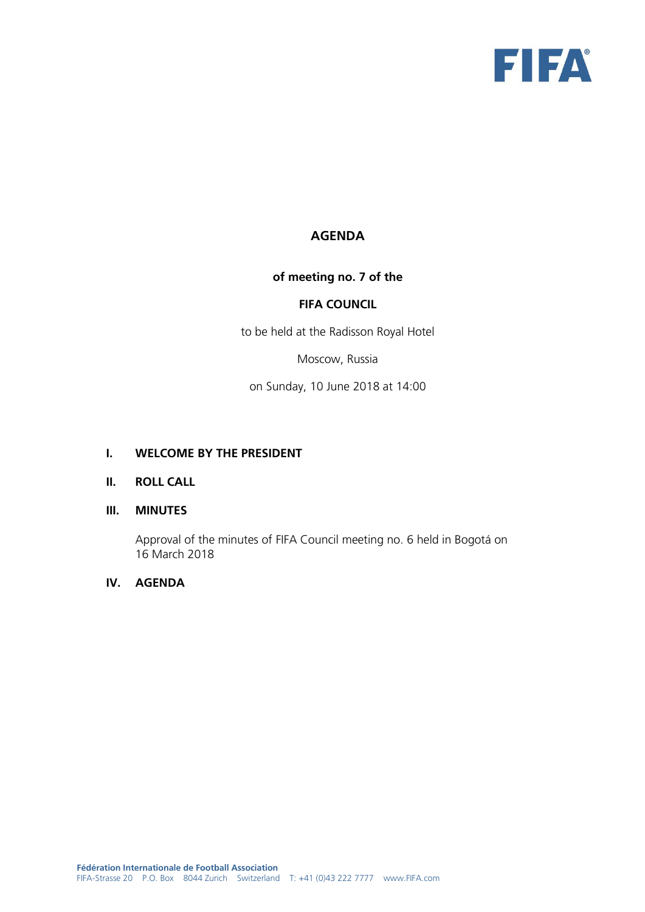

# **AGENDA**

# **of meeting no. 7 of the**

# **FIFA COUNCIL**

to be held at the Radisson Royal Hotel

Moscow, Russia

on Sunday, 10 June 2018 at 14:00

#### **I. WELCOME BY THE PRESIDENT**

# **II. ROLL CALL**

#### **III. MINUTES**

Approval of the minutes of FIFA Council meeting no. 6 held in Bogotá on 16 March 2018

# **IV. AGENDA**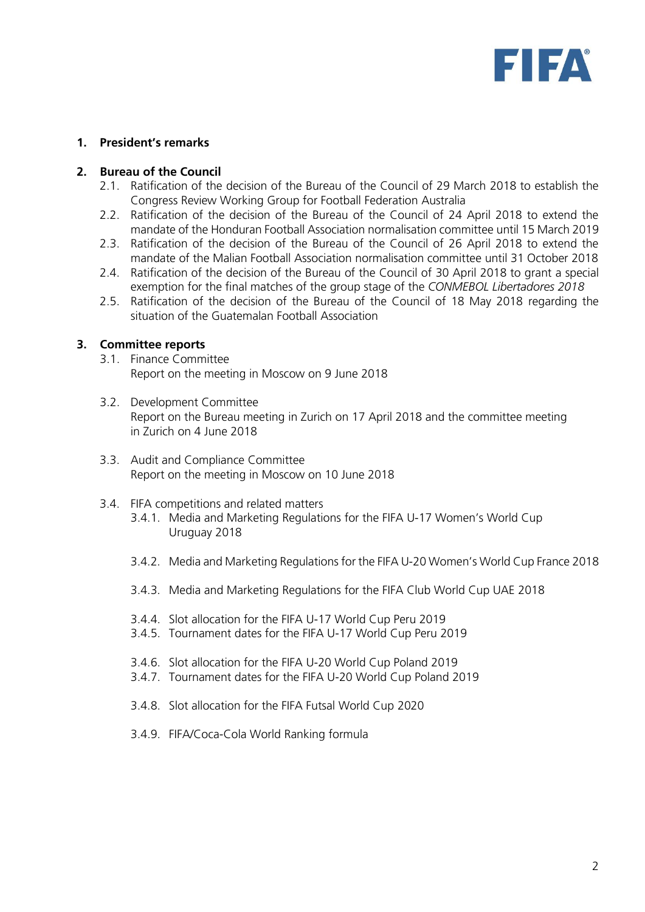

# **1. President's remarks**

#### **2. Bureau of the Council**

- 2.1. Ratification of the decision of the Bureau of the Council of 29 March 2018 to establish the Congress Review Working Group for Football Federation Australia
- 2.2. Ratification of the decision of the Bureau of the Council of 24 April 2018 to extend the mandate of the Honduran Football Association normalisation committee until 15 March 2019
- 2.3. Ratification of the decision of the Bureau of the Council of 26 April 2018 to extend the mandate of the Malian Football Association normalisation committee until 31 October 2018
- 2.4. Ratification of the decision of the Bureau of the Council of 30 April 2018 to grant a special exemption for the final matches of the group stage of the *CONMEBOL Libertadores 2018*
- 2.5. Ratification of the decision of the Bureau of the Council of 18 May 2018 regarding the situation of the Guatemalan Football Association

# **3. Committee reports**

- 3.1. Finance Committee Report on the meeting in Moscow on 9 June 2018
- 3.2. Development Committee Report on the Bureau meeting in Zurich on 17 April 2018 and the committee meeting in Zurich on 4 June 2018
- 3.3. Audit and Compliance Committee Report on the meeting in Moscow on 10 June 2018
- 3.4. FIFA competitions and related matters
	- 3.4.1. Media and Marketing Regulations for the FIFA U-17 Women's World Cup Uruguay 2018
	- 3.4.2. Media and Marketing Regulations for the FIFA U-20 Women's World Cup France 2018
	- 3.4.3. Media and Marketing Regulations for the FIFA Club World Cup UAE 2018
	- 3.4.4. Slot allocation for the FIFA U-17 World Cup Peru 2019
	- 3.4.5. Tournament dates for the FIFA U-17 World Cup Peru 2019
	- 3.4.6. Slot allocation for the FIFA U-20 World Cup Poland 2019
	- 3.4.7. Tournament dates for the FIFA U-20 World Cup Poland 2019
	- 3.4.8. Slot allocation for the FIFA Futsal World Cup 2020
	- 3.4.9. FIFA/Coca-Cola World Ranking formula